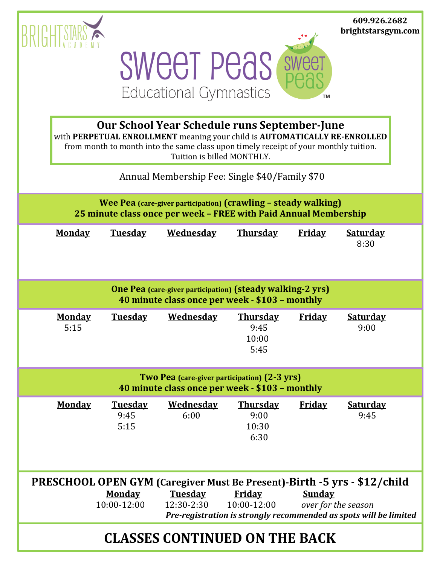|                                                                                                                                                                                                                                                                                       |                       |                                |                                                    |                                          |               | 609.926.2682<br>brightstarsgym.com |
|---------------------------------------------------------------------------------------------------------------------------------------------------------------------------------------------------------------------------------------------------------------------------------------|-----------------------|--------------------------------|----------------------------------------------------|------------------------------------------|---------------|------------------------------------|
|                                                                                                                                                                                                                                                                                       |                       |                                | <b>SWEET PEAS</b><br><b>Educational Gymnastics</b> |                                          | TМ            |                                    |
| Our School Year Schedule runs September-June<br>with PERPETUAL ENROLLMENT meaning your child is AUTOMATICALLY RE-ENROLLED<br>from month to month into the same class upon timely receipt of your monthly tuition.<br>Tuition is billed MONTHLY.                                       |                       |                                |                                                    |                                          |               |                                    |
| Annual Membership Fee: Single \$40/Family \$70                                                                                                                                                                                                                                        |                       |                                |                                                    |                                          |               |                                    |
| Wee Pea (care-giver participation) (crawling - steady walking)<br>25 minute class once per week - FREE with Paid Annual Membership                                                                                                                                                    |                       |                                |                                                    |                                          |               |                                    |
|                                                                                                                                                                                                                                                                                       | <b>Monday</b>         | <b>Tuesday</b>                 | <b>Wednesday</b>                                   | <b>Thursday</b>                          | <b>Friday</b> | <b>Saturday</b><br>8:30            |
| <b>One Pea</b> (care-giver participation) (steady walking-2 yrs)<br>40 minute class once per week - \$103 - monthly                                                                                                                                                                   |                       |                                |                                                    |                                          |               |                                    |
|                                                                                                                                                                                                                                                                                       | <b>Monday</b><br>5:15 | <b>Tuesday</b>                 | <b>Wednesday</b>                                   | <b>Thursday</b><br>9:45<br>10:00<br>5:45 | <b>Friday</b> | <b>Saturday</b><br>9:00            |
| Two Pea (care-giver participation) (2-3 yrs)<br>40 minute class once per week - \$103 - monthly                                                                                                                                                                                       |                       |                                |                                                    |                                          |               |                                    |
|                                                                                                                                                                                                                                                                                       | <b>Monday</b>         | <b>Tuesday</b><br>9:45<br>5:15 | <b>Wednesday</b><br>6:00                           | <b>Thursday</b><br>9:00<br>10:30<br>6:30 | <b>Friday</b> | <b>Saturday</b><br>9:45            |
| PRESCHOOL OPEN GYM (Caregiver Must Be Present)-Birth -5 yrs - \$12/child<br><b>Monday</b><br><b>Tuesday</b><br><b>Friday</b><br><b>Sunday</b><br>10:00-12:00<br>10:00-12:00<br>12:30-2:30<br>over for the season<br>Pre-registration is strongly recommended as spots will be limited |                       |                                |                                                    |                                          |               |                                    |
| <b>CLASSES CONTINUED ON THE BACK</b>                                                                                                                                                                                                                                                  |                       |                                |                                                    |                                          |               |                                    |